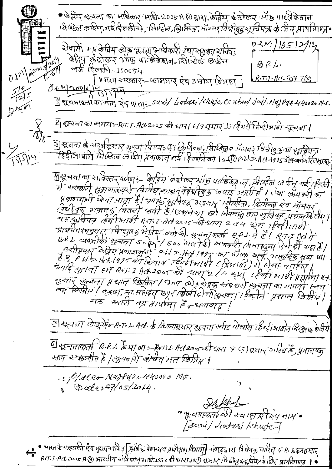• केविंग श्रूयना का आर्थकार आरी. 2005 A @ क्षारा, केविंग के डोलर ऑफ पार्ट्ले के बान । कैष्टिल लाईन, नईसिलली से, शिष्टिल, ब्रि। फ्रिल, भॉमनर *विधीद्युद्ध सूर्त्विप*त्रा के लिए प्रायनिायन  $0.3011651211$ सेवामें: मा केनिम लोक भयना साधेकारी रांथा रमुकत सामेवा केन्ट्रिय पुण्य आर्ये पार्त्र के बान मिलिक लाईन  $Q. P. L.$  $\frac{1}{2}$  (2000). 110054. Ohm/2000 िभारत सरकार :- कामगार ऐष 3 बोन विभाग  $R$ ,  $T$ ,  $L$ ,  $H$  $U$ ,  $S C$  $H$   $V$  $S$  $04412001415$  $\frac{510}{1215}$ 1) सूचनाऊर्ता का जान रेव प्राता: Suri/ Lodari Khete, Cented Jail, Najpur 440020 M.s. Dirm ये श्चचना का समयः-R.T.1.Acs2.ss की धारा 6/9 नूमार् 15/ई नमें हिन्हीजापी शूत्वना ( ষ্ট্ৰ শ্বেলা গু শ্ৰহ্মীৱহাাৰ দ্ভুংঅ যি দয়: ① ক্ৰিমিৰ্ল্ড, 'হীটেন্ত শ সাঁমনৰ্ যিষ্টাৰ্জ্যকা শ্ৰাসীদৰ্ত্য<br>— হিন্দীগাড়াদী দ্বিন্দ্ৰিত ভ্ৰাহ্মী দ্ৰগ্যমান নহ হিত্যক্ষী কা ১৯এটী P·W-> Ack 1995 ইজিৎবৰ্ষ হিন্দুজ্য  $25514$ मुखूयना का सावेस्तर वर्णन:- केत्रिय करा उपेकर सांछ पार्टककेशन, सिरहल लारीन गई (हलकी में अख्करी सुङ्गगालेएरी किरीध कार्यायुग्य छिड़ खयाई औती है । तथा लेखकरी का पुण्डातकी खिया मात्रा है। आर्के कुमियन मदमार सिर्व्हल, डिमिन्ल रेंग भामनर विद्यो बहु भाजपद मितनी खरी है। उसने ना लियमानु मार भाग्यक प्रधान बिर्मा TE Estate (Estation Ross, L. Act. 2005-of 211st 2 04 2/2) 1805 1816 पार्थमनापमनुसूर कि शुरुष भेजीक क्यों की खुराना करा है, ये से हैं। एक प्रति है प्रीम से व्यवसीकी शुम्बला 50 क्षेत्र/ 500 थाल की आनकारी (बना सून्य दिने की पादा है) अमेषकार शेविय प्रकाशनर्थन p.L.1.7.4011995 का डीक अर्च अमुक्रिय या या आदि अतना हमे 201.2 मि 2005 को सारा 2/4 देश रहिन्दी भाषी प्राप्ताना पत्र नुसारं शुन्यना प्रधान श्रिक्रिए। प्रगण लोड सेवकु संवद्यसे शुनर्ना का भानवी हनन यह अमी तम्र भागीना है, शबायाद! <u>ड</u>] सूत्तना पोखूनेफ़े RoTo L. Act. के कियमानूसार हाचना स्वीड पोखारेन (हेक्टीआर्मा) विःशुलब्रु शेर्जये 6 श्वचताकर्ता B.P.4 हैभा ला : Roms Actres की धारा & SexT allage है, प्रमाणपत शाप शक्तजीत है / अयनश्रि बंग्येत मत खिप्रीए ।  $-$ : P/2les Naffuer440020 M5. De Khop \* भूत्यनाकर्ता की स्टार्श री रेप नाम • [secrit] Loctari Khufe] . • गारतर्षे शक्र्पती मैय भुख्य शाविव डिमिक्र पेशन्यूय प्रारंभक्षण विभाग्नु श्रेशहड ारा विखेयऊ पारीत ५ R. ६कुमद्रसार<br>• RFT LACL2005 A © भारतीय शोरी धानुभारी 1950 की धारा 190 असार (विधीक्षक्रुप्रविफ़्रिके जिए प्रायर्षनाफ्